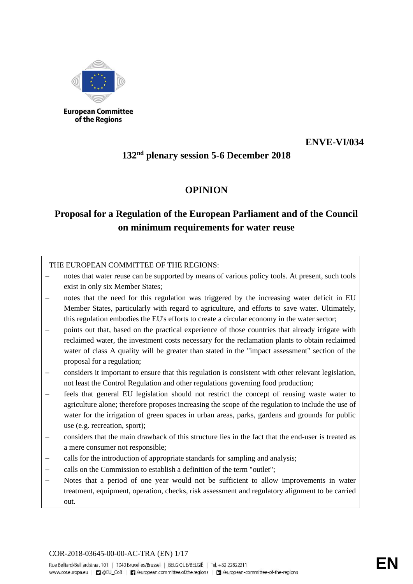

of the Regions

### **ENVE-VI/034**

## **132nd plenary session 5-6 December 2018**

### **OPINION**

# **Proposal for a Regulation of the European Parliament and of the Council on minimum requirements for water reuse**

### THE EUROPEAN COMMITTEE OF THE REGIONS:

- notes that water reuse can be supported by means of various policy tools. At present, such tools exist in only six Member States;
- notes that the need for this regulation was triggered by the increasing water deficit in EU Member States, particularly with regard to agriculture, and efforts to save water. Ultimately, this regulation embodies the EU's efforts to create a circular economy in the water sector;
- points out that, based on the practical experience of those countries that already irrigate with reclaimed water, the investment costs necessary for the reclamation plants to obtain reclaimed water of class A quality will be greater than stated in the "impact assessment" section of the proposal for a regulation;
- − considers it important to ensure that this regulation is consistent with other relevant legislation, not least the Control Regulation and other regulations governing food production;
- feels that general EU legislation should not restrict the concept of reusing waste water to agriculture alone; therefore proposes increasing the scope of the regulation to include the use of water for the irrigation of green spaces in urban areas, parks, gardens and grounds for public use (e.g. recreation, sport);
- − considers that the main drawback of this structure lies in the fact that the end-user is treated as a mere consumer not responsible;
- calls for the introduction of appropriate standards for sampling and analysis;
- calls on the Commission to establish a definition of the term "outlet";
- Notes that a period of one year would not be sufficient to allow improvements in water treatment, equipment, operation, checks, risk assessment and regulatory alignment to be carried out.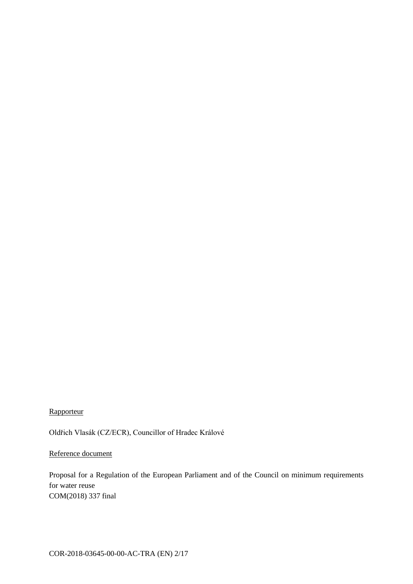### Rapporteur

Oldřich Vlasák (CZ/ECR), Councillor of Hradec Králové

### Reference document

Proposal for a Regulation of the European Parliament and of the Council on minimum requirements for water reuse COM(2018) 337 final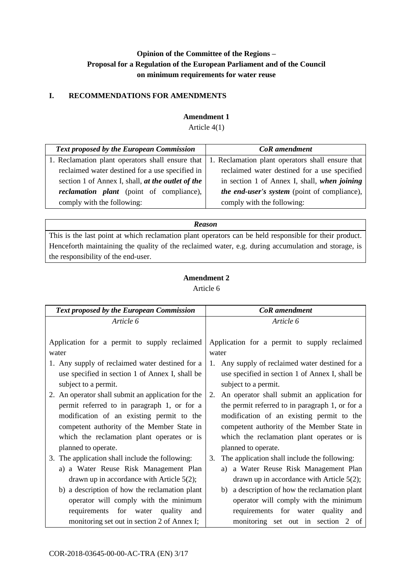### **Opinion of the Committee of the Regions – Proposal for a Regulation of the European Parliament and of the Council on minimum requirements for water reuse**

#### **I. RECOMMENDATIONS FOR AMENDMENTS**

#### **Amendment 1**

Article 4(1)

| <b>Text proposed by the European Commission</b>   | <b>CoR</b> amendment                                |
|---------------------------------------------------|-----------------------------------------------------|
| 1. Reclamation plant operators shall ensure that  | 1. Reclamation plant operators shall ensure that    |
| reclaimed water destined for a use specified in   | reclaimed water destined for a use specified        |
| section 1 of Annex I, shall, at the outlet of the | in section 1 of Annex I, shall, when joining        |
| <i>reclamation plant</i> (point of compliance),   | <i>the end-user's system</i> (point of compliance), |
| comply with the following:                        | comply with the following:                          |

*Reason*

This is the last point at which reclamation plant operators can be held responsible for their product. Henceforth maintaining the quality of the reclaimed water, e.g. during accumulation and storage, is the responsibility of the end-user.

| Article 6 |
|-----------|
|           |

| <b>Text proposed by the European Commission</b>    | CoR amendment                                      |
|----------------------------------------------------|----------------------------------------------------|
| Article 6                                          | Article 6                                          |
|                                                    |                                                    |
| Application for a permit to supply reclaimed       | Application for a permit to supply reclaimed       |
| water                                              | water                                              |
| 1. Any supply of reclaimed water destined for a    | Any supply of reclaimed water destined for a<br>1. |
| use specified in section 1 of Annex I, shall be    | use specified in section 1 of Annex I, shall be    |
| subject to a permit.                               | subject to a permit.                               |
| 2. An operator shall submit an application for the | An operator shall submit an application for<br>2.  |
| permit referred to in paragraph 1, or for a        | the permit referred to in paragraph 1, or for a    |
| modification of an existing permit to the          | modification of an existing permit to the          |
| competent authority of the Member State in         | competent authority of the Member State in         |
| which the reclamation plant operates or is         | which the reclamation plant operates or is         |
| planned to operate.                                | planned to operate.                                |
| 3. The application shall include the following:    | The application shall include the following:<br>3. |
| a) a Water Reuse Risk Management Plan              | a Water Reuse Risk Management Plan<br>a)           |
| drawn up in accordance with Article $5(2)$ ;       | drawn up in accordance with Article $5(2)$ ;       |
| b) a description of how the reclamation plant      | a description of how the reclamation plant<br>b)   |
| operator will comply with the minimum              | operator will comply with the minimum              |
| requirements for water<br>quality<br>and           | requirements for water quality and                 |
| monitoring set out in section 2 of Annex I;        | monitoring set out in section 2 of                 |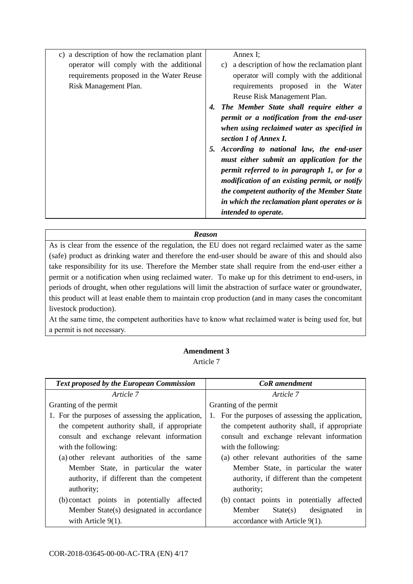| c) a description of how the reclamation plant | Annex I;                                         |
|-----------------------------------------------|--------------------------------------------------|
| operator will comply with the additional      | a description of how the reclamation plant<br>C) |
| requirements proposed in the Water Reuse      | operator will comply with the additional         |
| Risk Management Plan.                         | requirements proposed in the Water               |
|                                               | Reuse Risk Management Plan.                      |
|                                               | The Member State shall require either a<br>4.    |
|                                               | permit or a notification from the end-user       |
|                                               | when using reclaimed water as specified in       |
|                                               | section 1 of Annex I.                            |
|                                               | According to national law, the end-user<br>5.    |
|                                               | must either submit an application for the        |
|                                               | permit referred to in paragraph 1, or for a      |
|                                               | modification of an existing permit, or notify    |
|                                               | the competent authority of the Member State      |
|                                               | in which the reclamation plant operates or is    |
|                                               | intended to operate.                             |

As is clear from the essence of the regulation, the EU does not regard reclaimed water as the same (safe) product as drinking water and therefore the end-user should be aware of this and should also take responsibility for its use. Therefore the Member state shall require from the end-user either a permit or a notification when using reclaimed water.To make up for this detriment to end-users, in periods of drought, when other regulations will limit the abstraction of surface water or groundwater, this product will at least enable them to maintain crop production (and in many cases the concomitant livestock production).

At the same time, the competent authorities have to know what reclaimed water is being used for, but a permit is not necessary.

### **Amendment 3**

Article 7

| <b>Text proposed by the European Commission</b>   | <b>CoR</b> amendment                              |
|---------------------------------------------------|---------------------------------------------------|
| Article 7                                         | Article 7                                         |
| Granting of the permit                            | Granting of the permit                            |
| 1. For the purposes of assessing the application, | 1. For the purposes of assessing the application, |
| the competent authority shall, if appropriate     | the competent authority shall, if appropriate     |
| consult and exchange relevant information         | consult and exchange relevant information         |
| with the following:                               | with the following:                               |
| (a) other relevant authorities of the same        | (a) other relevant authorities of the same        |
| Member State, in particular the water             | Member State, in particular the water             |
| authority, if different than the competent        | authority, if different than the competent        |
| authority;                                        | authority;                                        |
| (b) contact points in potentially affected        | (b) contact points in potentially affected        |
| Member State(s) designated in accordance          | State(s)<br>designated<br>Member<br>in            |
| with Article $9(1)$ .                             | accordance with Article 9(1).                     |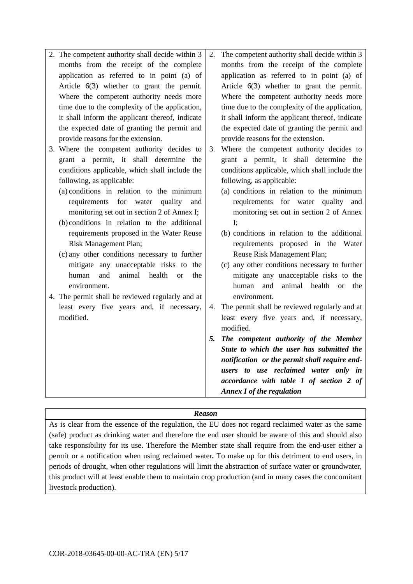| 2. The competent authority shall decide within 3                                              | 2. | The competent authority shall decide within 3                           |
|-----------------------------------------------------------------------------------------------|----|-------------------------------------------------------------------------|
| months from the receipt of the complete                                                       |    | months from the receipt of the complete                                 |
| application as referred to in point (a) of                                                    |    | application as referred to in point (a) of                              |
| Article $6(3)$ whether to grant the permit.                                                   |    | Article $6(3)$ whether to grant the permit.                             |
| Where the competent authority needs more                                                      |    | Where the competent authority needs more                                |
| time due to the complexity of the application,                                                |    | time due to the complexity of the application,                          |
| it shall inform the applicant thereof, indicate                                               |    | it shall inform the applicant thereof, indicate                         |
| the expected date of granting the permit and                                                  |    | the expected date of granting the permit and                            |
| provide reasons for the extension.                                                            |    | provide reasons for the extension.                                      |
| 3. Where the competent authority decides to                                                   | 3. | Where the competent authority decides to                                |
| grant a permit, it shall determine the                                                        |    | grant a permit, it shall determine the                                  |
| conditions applicable, which shall include the                                                |    | conditions applicable, which shall include the                          |
| following, as applicable:                                                                     |    | following, as applicable:                                               |
| (a) conditions in relation to the minimum                                                     |    | (a) conditions in relation to the minimum                               |
| requirements<br>for<br>water<br>quality<br>and                                                |    | requirements for water quality<br>and                                   |
| monitoring set out in section 2 of Annex I;                                                   |    | monitoring set out in section 2 of Annex                                |
| (b) conditions in relation to the additional                                                  |    | $\mathbf{I}$ :                                                          |
| requirements proposed in the Water Reuse                                                      |    | (b) conditions in relation to the additional                            |
| Risk Management Plan;                                                                         |    | requirements proposed in the Water                                      |
| (c) any other conditions necessary to further                                                 |    | Reuse Risk Management Plan;                                             |
| mitigate any unacceptable risks to the                                                        |    | (c) any other conditions necessary to further                           |
| and<br>animal<br>health<br>human<br>$\alpha$<br>the<br>environment.                           |    | mitigate any unacceptable risks to the<br>animal health<br>human<br>and |
|                                                                                               |    | <b>or</b><br>the<br>environment.                                        |
| 4. The permit shall be reviewed regularly and at<br>least every five years and, if necessary, |    | The permit shall be reviewed regularly and at                           |
| modified.                                                                                     | 4. | least every five years and, if necessary,                               |
|                                                                                               |    | modified.                                                               |
|                                                                                               | 5. | The competent authority of the Member                                   |
|                                                                                               |    | State to which the user has submitted the                               |
|                                                                                               |    | notification or the permit shall require end-                           |
|                                                                                               |    | users to use reclaimed water only in                                    |
|                                                                                               |    | accordance with table 1 of section 2 of                                 |
|                                                                                               |    | <b>Annex I of the regulation</b>                                        |
|                                                                                               |    |                                                                         |

As is clear from the essence of the regulation, the EU does not regard reclaimed water as the same (safe) product as drinking water and therefore the end user should be aware of this and should also take responsibility for its use. Therefore the Member state shall require from the end-user either a permit or a notification when using reclaimed water*.* To make up for this detriment to end users, in periods of drought, when other regulations will limit the abstraction of surface water or groundwater, this product will at least enable them to maintain crop production (and in many cases the concomitant livestock production).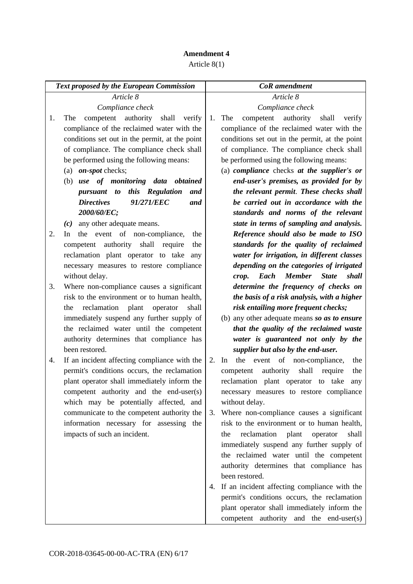|    | <b>Text proposed by the European Commission</b>      |    | <b>CoR</b> amendment                                    |
|----|------------------------------------------------------|----|---------------------------------------------------------|
|    | Article 8                                            |    | Article 8                                               |
|    | Compliance check                                     |    | Compliance check                                        |
| 1. | authority<br>competent<br>shall<br>The<br>verify     | 1. | authority<br>competent<br>shall<br>The<br>verify        |
|    | compliance of the reclaimed water with the           |    | compliance of the reclaimed water with the              |
|    | conditions set out in the permit, at the point       |    | conditions set out in the permit, at the point          |
|    | of compliance. The compliance check shall            |    | of compliance. The compliance check shall               |
|    | be performed using the following means:              |    | be performed using the following means:                 |
|    | (a) $\omega$ <i>on-spot</i> checks;                  |    | (a) compliance checks at the supplier's or              |
|    | (b) use of monitoring data obtained                  |    | end-user's premises, as provided for by                 |
|    | pursuant to this Regulation<br>and                   |    | the relevant permit. These checks shall                 |
|    | <b>Directives</b><br>91/271/EEC<br>and               |    | be carried out in accordance with the                   |
|    | 2000/60/EC;                                          |    | standards and norms of the relevant                     |
|    | $(c)$ any other adequate means.                      |    | state in terms of sampling and analysis.                |
| 2. | the event of non-compliance,<br><sub>In</sub><br>the |    | Reference should also be made to ISO                    |
|    | competent authority shall require<br>the             |    | standards for the quality of reclaimed                  |
|    | reclamation plant operator to take<br>any            |    | water for irrigation, in different classes              |
|    | necessary measures to restore compliance             |    | depending on the categories of irrigated                |
|    | without delay.                                       |    | Each<br><b>Member</b><br><b>State</b><br>shall<br>crop. |
| 3. | Where non-compliance causes a significant            |    | determine the frequency of checks on                    |
|    | risk to the environment or to human health,          |    | the basis of a risk analysis, with a higher             |
|    | reclamation plant<br>operator<br>shall<br>the        |    | risk entailing more frequent checks;                    |
|    | immediately suspend any further supply of            |    | (b) any other adequate means so as to ensure            |
|    | the reclaimed water until the competent              |    | that the quality of the reclaimed waste                 |
|    | authority determines that compliance has             |    | water is guaranteed not only by the                     |
|    | been restored.                                       |    | supplier but also by the end-user.                      |
| 4. | If an incident affecting compliance with the         | 2. | the event of non-compliance,<br>In<br>the               |
|    | permit's conditions occurs, the reclamation          |    | authority<br>shall<br>the<br>competent<br>require       |
|    | plant operator shall immediately inform the          |    | reclamation plant operator to take<br>any               |
|    | competent authority and the end-user(s)              |    | necessary measures to restore compliance                |
|    | which may be potentially affected, and               |    | without delay.                                          |
|    | communicate to the competent authority the           | 3. | Where non-compliance causes a significant               |
|    | information necessary for assessing the              |    | risk to the environment or to human health,             |
|    | impacts of such an incident.                         |    | reclamation<br>plant<br>shall<br>the<br>operator        |
|    |                                                      |    | immediately suspend any further supply of               |
|    |                                                      |    | the reclaimed water until the competent                 |
|    |                                                      |    | authority determines that compliance has                |
|    |                                                      |    | been restored.                                          |
|    |                                                      | 4. | If an incident affecting compliance with the            |
|    |                                                      |    | permit's conditions occurs, the reclamation             |
|    |                                                      |    | plant operator shall immediately inform the             |
|    |                                                      |    | competent authority and the end-user(s)                 |
|    |                                                      |    |                                                         |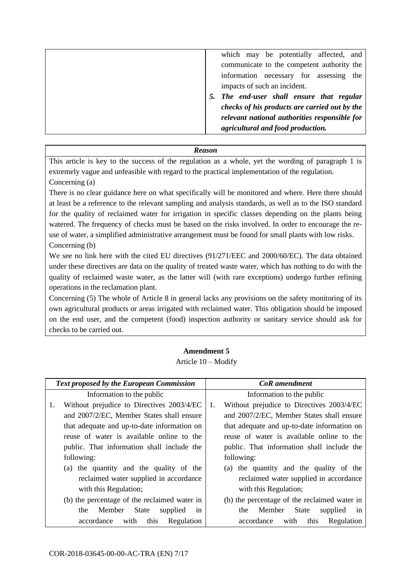| which may be potentially affected, and        |
|-----------------------------------------------|
| communicate to the competent authority the    |
| information necessary for assessing<br>the    |
| impacts of such an incident.                  |
| 5. The end-user shall ensure that regular     |
| checks of his products are carried out by the |
| relevant national authorities responsible for |
| agricultural and food production.             |
|                                               |

This article is key to the success of the regulation as a whole, yet the wording of paragraph 1 is extremely vague and unfeasible with regard to the practical implementation of the regulation. Concerning (a)

There is no clear guidance here on what specifically will be monitored and where. Here there should at least be a reference to the relevant sampling and analysis standards, as well as to the ISO standard for the quality of reclaimed water for irrigation in specific classes depending on the plants being watered. The frequency of checks must be based on the risks involved. In order to encourage the reuse of water, a simplified administrative arrangement must be found for small plants with low risks. Concerning (b)

We see no link here with the cited EU directives (91/271/EEC and 2000/60/EC). The data obtained under these directives are data on the quality of treated waste water, which has nothing to do with the quality of reclaimed waste water, as the latter will (with rare exceptions) undergo further refining operations in the reclamation plant.

Concerning (5) The whole of Article 8 in general lacks any provisions on the safety monitoring of its own agricultural products or areas irrigated with reclaimed water. This obligation should be imposed on the end user, and the competent (food) inspection authority or sanitary service should ask for checks to be carried out.

Article 10 – Modify

|                       | <b>Text proposed by the European Commission</b> |    | <b>CoR</b> amendment                         |
|-----------------------|-------------------------------------------------|----|----------------------------------------------|
|                       | Information to the public                       |    | Information to the public                    |
| 1.                    | Without prejudice to Directives 2003/4/EC       | 1. | Without prejudice to Directives 2003/4/EC    |
|                       | and 2007/2/EC, Member States shall ensure       |    | and 2007/2/EC, Member States shall ensure    |
|                       | that adequate and up-to-date information on     |    | that adequate and up-to-date information on  |
|                       | reuse of water is available online to the       |    | reuse of water is available online to the    |
|                       | public. That information shall include the      |    | public. That information shall include the   |
| following:            |                                                 |    | following:                                   |
|                       | (a) the quantity and the quality of the         |    | (a) the quantity and the quality of the      |
|                       | reclaimed water supplied in accordance          |    | reclaimed water supplied in accordance       |
| with this Regulation; |                                                 |    | with this Regulation;                        |
|                       | (b) the percentage of the reclaimed water in    |    | (b) the percentage of the reclaimed water in |
| the                   | Member State<br>supplied<br>1n                  |    | Member State<br>supplied<br>the<br>1n        |
| accordance            | this<br>with<br>Regulation                      |    | this<br>accordance<br>with<br>Regulation     |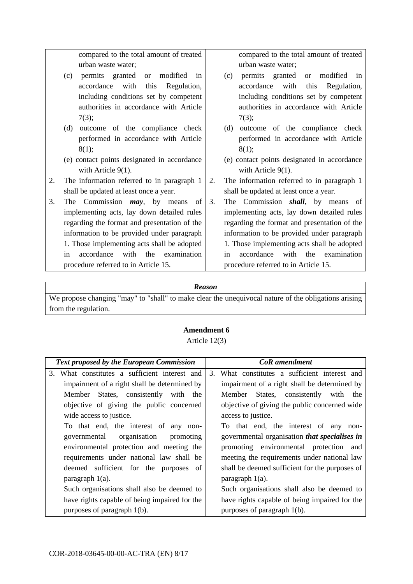compared to the total amount of treated urban waste water;

- (c) permits granted or modified in accordance with this Regulation, including conditions set by competent authorities in accordance with Article 7(3);
- (d) outcome of the compliance check performed in accordance with Article 8(1);
- (e) contact points designated in accordance with Article 9(1).
- 2. The information referred to in paragraph 1 shall be updated at least once a year.
- 3. The Commission *may*, by means of implementing acts, lay down detailed rules regarding the format and presentation of the information to be provided under paragraph 1. Those implementing acts shall be adopted in accordance with the examination procedure referred to in Article 15.

compared to the total amount of treated urban waste water;

- (c) permits granted or modified in accordance with this Regulation, including conditions set by competent authorities in accordance with Article 7(3);
- (d) outcome of the compliance check performed in accordance with Article 8(1);
- (e) contact points designated in accordance with Article 9(1).
- 2. The information referred to in paragraph 1 shall be updated at least once a year.
- 3. The Commission *shall*, by means of implementing acts, lay down detailed rules regarding the format and presentation of the information to be provided under paragraph 1. Those implementing acts shall be adopted in accordance with the examination procedure referred to in Article 15.

#### *Reason*

We propose changing "may" to "shall" to make clear the unequivocal nature of the obligations arising from the regulation.

Article 12(3)

| <b>Text proposed by the European Commission</b> | CoR amendment                                        |
|-------------------------------------------------|------------------------------------------------------|
| 3. What constitutes a sufficient interest and   | What constitutes a sufficient interest and<br>3.     |
| impairment of a right shall be determined by    | impairment of a right shall be determined by         |
| Member States, consistently with the            | Member States, consistently<br>with<br>the           |
| objective of giving the public concerned        | objective of giving the public concerned wide        |
| wide access to justice.                         | access to justice.                                   |
| To that end, the interest of any non-           | To that end, the interest of any non-                |
| organisation<br>governmental<br>promoting       | governmental organisation <i>that specialises in</i> |
| environmental protection and meeting the        | promoting environmental protection and               |
| requirements under national law shall be        | meeting the requirements under national law          |
| deemed sufficient for the purposes of           | shall be deemed sufficient for the purposes of       |
| paragraph $1(a)$ .                              | paragraph $1(a)$ .                                   |
| Such organisations shall also be deemed to      | Such organisations shall also be deemed to           |
| have rights capable of being impaired for the   | have rights capable of being impaired for the        |
| purposes of paragraph 1(b).                     | purposes of paragraph 1(b).                          |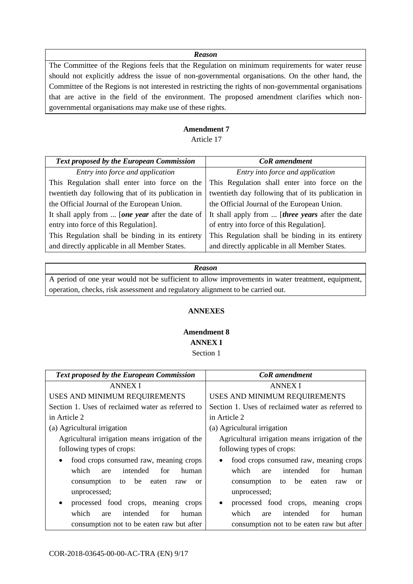The Committee of the Regions feels that the Regulation on minimum requirements for water reuse should not explicitly address the issue of non-governmental organisations. On the other hand, the Committee of the Regions is not interested in restricting the rights of non-governmental organisations that are active in the field of the environment. The proposed amendment clarifies which nongovernmental organisations may make use of these rights.

#### **Amendment 7**

Article 17

| <b>Text proposed by the European Commission</b>    | <b>CoR</b> amendment                                     |  |
|----------------------------------------------------|----------------------------------------------------------|--|
| Entry into force and application                   | Entry into force and application                         |  |
| This Regulation shall enter into force on the      | This Regulation shall enter into force on the            |  |
| twentieth day following that of its publication in | twentieth day following that of its publication in       |  |
| the Official Journal of the European Union.        | the Official Journal of the European Union.              |  |
| It shall apply from  [one year after the date of   | It shall apply from  [ <i>three years</i> after the date |  |
| entry into force of this Regulation].              | of entry into force of this Regulation].                 |  |
| This Regulation shall be binding in its entirety   | This Regulation shall be binding in its entirety         |  |
| and directly applicable in all Member States.      | and directly applicable in all Member States.            |  |

#### *Reason*

A period of one year would not be sufficient to allow improvements in water treatment, equipment, operation, checks, risk assessment and regulatory alignment to be carried out.

#### **ANNEXES**

#### **Amendment 8 ANNEX I** Section 1

| <b>Text proposed by the European Commission</b>                                                                                                                                          | <b>CoR</b> amendment                                                                                                                                                                     |
|------------------------------------------------------------------------------------------------------------------------------------------------------------------------------------------|------------------------------------------------------------------------------------------------------------------------------------------------------------------------------------------|
| <b>ANNEX I</b>                                                                                                                                                                           | <b>ANNEX I</b>                                                                                                                                                                           |
| USES AND MINIMUM REQUIREMENTS                                                                                                                                                            | USES AND MINIMUM REQUIREMENTS                                                                                                                                                            |
| Section 1. Uses of reclaimed water as referred to                                                                                                                                        | Section 1. Uses of reclaimed water as referred to                                                                                                                                        |
| in Article 2                                                                                                                                                                             | in Article 2                                                                                                                                                                             |
| (a) Agricultural irrigation                                                                                                                                                              | (a) Agricultural irrigation                                                                                                                                                              |
| Agricultural irrigation means irrigation of the                                                                                                                                          | Agricultural irrigation means irrigation of the                                                                                                                                          |
| following types of crops:                                                                                                                                                                | following types of crops:                                                                                                                                                                |
| food crops consumed raw, meaning crops<br>$\bullet$<br>intended<br>which<br>for<br>human<br>are<br>consumption<br>be<br>to<br>eaten<br><sub>or</sub><br>raw<br>unprocessed;<br>$\bullet$ | food crops consumed raw, meaning crops<br>$\bullet$<br>intended<br>which<br>for<br>human<br>are<br>be<br>consumption<br>to<br>eaten<br>raw<br><sub>or</sub><br>unprocessed;<br>$\bullet$ |
| processed food crops, meaning crops<br>which<br>intended<br>for<br>human<br>are<br>consumption not to be eaten raw but after                                                             | processed food crops, meaning crops<br>which<br>intended<br>for<br>human<br>are<br>consumption not to be eaten raw but after                                                             |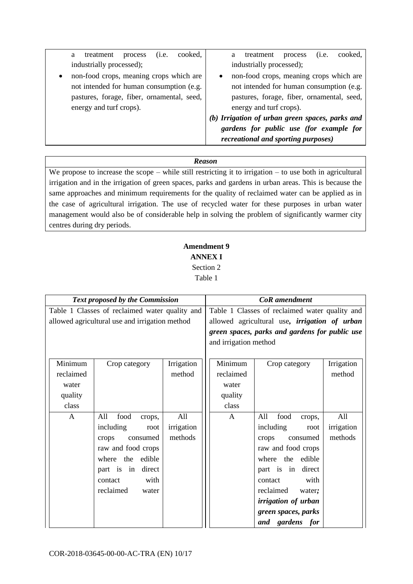| cooked,<br>(i.e.<br>treatment<br>process<br>a        | cooked,<br>treatment<br>process<br>(i.e.<br>a   |
|------------------------------------------------------|-------------------------------------------------|
| industrially processed);                             | industrially processed);                        |
| non-food crops, meaning crops which are<br>$\bullet$ | non-food crops, meaning crops which are         |
| not intended for human consumption (e.g.             | not intended for human consumption (e.g.        |
| pastures, forage, fiber, ornamental, seed,           | pastures, forage, fiber, ornamental, seed,      |
| energy and turf crops).                              | energy and turf crops).                         |
|                                                      | (b) Irrigation of urban green spaces, parks and |
|                                                      | gardens for public use (for example for         |
|                                                      | <i>recreational and sporting purposes)</i>      |

We propose to increase the scope – while still restricting it to irrigation – to use both in agricultural irrigation and in the irrigation of green spaces, parks and gardens in urban areas. This is because the same approaches and minimum requirements for the quality of reclaimed water can be applied as in the case of agricultural irrigation. The use of recycled water for these purposes in urban water management would also be of considerable help in solving the problem of significantly warmer city centres during dry periods.

### **Amendment 9 ANNEX I**  Section 2 Table 1

| <b>Text proposed by the Commission</b>         |                                                |                                                |                                                      | <b>CoR</b> amendment                           |            |  |
|------------------------------------------------|------------------------------------------------|------------------------------------------------|------------------------------------------------------|------------------------------------------------|------------|--|
| Table 1 Classes of reclaimed water quality and |                                                | Table 1 Classes of reclaimed water quality and |                                                      |                                                |            |  |
|                                                | allowed agricultural use and irrigation method |                                                | allowed agricultural use, <i>irrigation of urban</i> |                                                |            |  |
|                                                |                                                |                                                |                                                      | green spaces, parks and gardens for public use |            |  |
|                                                |                                                |                                                | and irrigation method                                |                                                |            |  |
|                                                |                                                |                                                |                                                      |                                                |            |  |
| Minimum                                        | Crop category                                  | Irrigation                                     | Minimum                                              | Crop category                                  | Irrigation |  |
| reclaimed                                      |                                                | method                                         | reclaimed                                            |                                                | method     |  |
| water                                          |                                                |                                                | water                                                |                                                |            |  |
| quality                                        |                                                |                                                | quality                                              |                                                |            |  |
| class                                          |                                                |                                                | class                                                |                                                |            |  |
| $\mathsf{A}$                                   | food<br>All<br>crops,                          | All                                            | A                                                    | All<br>food<br>crops,                          | All        |  |
|                                                | including<br>root                              | irrigation                                     |                                                      | including<br>root                              | irrigation |  |
|                                                | consumed<br>crops                              | methods                                        |                                                      | crops<br>consumed                              | methods    |  |
|                                                | raw and food crops                             |                                                |                                                      | raw and food crops                             |            |  |
|                                                | the<br>edible<br>where                         |                                                |                                                      | the<br>edible<br>where                         |            |  |
|                                                | direct<br>part is in                           |                                                |                                                      | direct<br>part is in                           |            |  |
|                                                | with<br>contact                                |                                                |                                                      | with<br>contact                                |            |  |
|                                                | reclaimed<br>water                             |                                                |                                                      | reclaimed<br>water;                            |            |  |
|                                                |                                                |                                                |                                                      | irrigation of urban                            |            |  |
|                                                |                                                |                                                |                                                      | green spaces, parks                            |            |  |
|                                                |                                                |                                                |                                                      | and gardens for                                |            |  |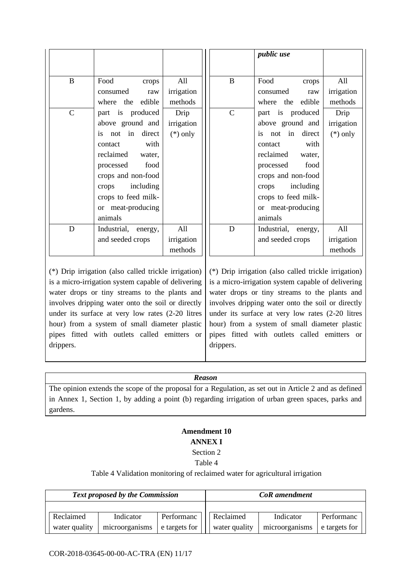|              |                     |            |             | <i>public use</i>   |            |
|--------------|---------------------|------------|-------------|---------------------|------------|
|              |                     |            |             |                     |            |
| $\bf{B}$     | Food<br>crops       | All        | B           | Food<br>crops       | All        |
|              | consumed<br>raw     | irrigation |             | consumed<br>raw     | irrigation |
|              | where the<br>edible | methods    |             | the edible<br>where | methods    |
| $\mathsf{C}$ | part is produced    | Drip       | $\mathbf C$ | part is produced    | Drip       |
|              | above ground and    | irrigation |             | above ground and    | irrigation |
|              | not in direct<br>is | $(*)$ only |             | not in direct<br>is | $(*)$ only |
|              | with<br>contact     |            |             | with<br>contact     |            |
|              | reclaimed<br>water, |            |             | reclaimed<br>water, |            |
|              | food<br>processed   |            |             | food<br>processed   |            |
|              | crops and non-food  |            |             | crops and non-food  |            |
|              | including<br>crops  |            |             | including<br>crops  |            |
|              | crops to feed milk- |            |             | crops to feed milk- |            |
|              | or meat-producing   |            |             | or meat-producing   |            |
|              | animals             |            |             | animals             |            |
| D            | Industrial, energy, | All        | D           | Industrial, energy, | All        |
|              | and seeded crops    | irrigation |             | and seeded crops    | irrigation |
|              |                     | methods    |             |                     | methods    |

(\*) Drip irrigation (also called trickle irrigation) is a micro-irrigation system capable of delivering water drops or tiny streams to the plants and involves dripping water onto the soil or directly under its surface at very low rates (2-20 litres hour) from a system of small diameter plastic pipes fitted with outlets called emitters or drippers.

(\*) Drip irrigation (also called trickle irrigation) is a micro-irrigation system capable of delivering water drops or tiny streams to the plants and involves dripping water onto the soil or directly under its surface at very low rates (2-20 litres hour) from a system of small diameter plastic pipes fitted with outlets called emitters or drippers.

### *Reason*

The opinion extends the scope of the proposal for a Regulation, as set out in Article 2 and as defined in Annex 1, Section 1, by adding a point (b) regarding irrigation of urban green spaces, parks and gardens.

### **Amendment 10 ANNEX I**  Section 2

### Table 4

#### Table 4 Validation monitoring of reclaimed water for agricultural irrigation

| <b>Text proposed by the Commission</b> |                |               | <b>CoR</b> amendment |                |               |
|----------------------------------------|----------------|---------------|----------------------|----------------|---------------|
|                                        |                |               |                      |                |               |
| Reclaimed                              | Indicator      | Performanc    | Reclaimed            | Indicator      | Performanc    |
| water quality                          | microorganisms | e targets for | water quality        | microorganisms | e targets for |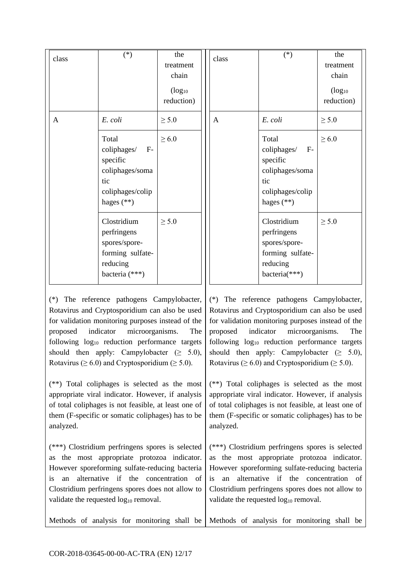| class | $(*)$                                                                                                  | the<br>treatment<br>chain<br>$(log_{10}$<br>reduction) | class        | $(*)$                                                                                                  | the<br>treatment<br>chain<br>$(log_{10}$<br>reduction) |
|-------|--------------------------------------------------------------------------------------------------------|--------------------------------------------------------|--------------|--------------------------------------------------------------------------------------------------------|--------------------------------------------------------|
| A     | E. coli                                                                                                | $\geq 5.0$                                             | $\mathbf{A}$ | E. coli                                                                                                | $\geq 5.0$                                             |
|       | Total<br>coliphages/<br>$F-$<br>specific<br>coliphages/soma<br>tic<br>coliphages/colip<br>hages $(**)$ | $\geq 6.0$                                             |              | Total<br>coliphages/<br>$F-$<br>specific<br>coliphages/soma<br>tic<br>coliphages/colip<br>hages $(**)$ | $\geq 6.0$                                             |
|       | Clostridium<br>perfringens<br>spores/spore-<br>forming sulfate-<br>reducing<br>bacteria (***)          | $\geq 5.0$                                             |              | Clostridium<br>perfringens<br>spores/spore-<br>forming sulfate-<br>reducing<br>bacteria(***)           | $\geq 5.0$                                             |

(\*) The reference pathogens Campylobacter, Rotavirus and Cryptosporidium can also be used for validation monitoring purposes instead of the proposed indicator microorganisms. The following log<sup>10</sup> reduction performance targets should then apply: Campylobacter  $(≥ 5.0)$ , Rotavirus ( $\geq 6.0$ ) and Cryptosporidium ( $\geq 5.0$ ).

(\*\*) Total coliphages is selected as the most appropriate viral indicator. However, if analysis of total coliphages is not feasible, at least one of them (F-specific or somatic coliphages) has to be analyzed.

(\*\*\*) Clostridium perfringens spores is selected as the most appropriate protozoa indicator. However sporeforming sulfate-reducing bacteria is an alternative if the concentration of Clostridium perfringens spores does not allow to validate the requested  $log_{10}$  removal.

(\*) The reference pathogens Campylobacter, Rotavirus and Cryptosporidium can also be used for validation monitoring purposes instead of the proposed indicator microorganisms. The following log<sup>10</sup> reduction performance targets should then apply: Campylobacter  $(≥ 5.0)$ , Rotavirus ( $\geq 6.0$ ) and Cryptosporidium ( $\geq 5.0$ ).

(\*\*) Total coliphages is selected as the most appropriate viral indicator. However, if analysis of total coliphages is not feasible, at least one of them (F-specific or somatic coliphages) has to be analyzed.

(\*\*\*) Clostridium perfringens spores is selected as the most appropriate protozoa indicator. However sporeforming sulfate-reducing bacteria is an alternative if the concentration of Clostridium perfringens spores does not allow to validate the requested  $log_{10}$  removal.

Methods of analysis for monitoring shall be Methods of analysis for monitoring shall be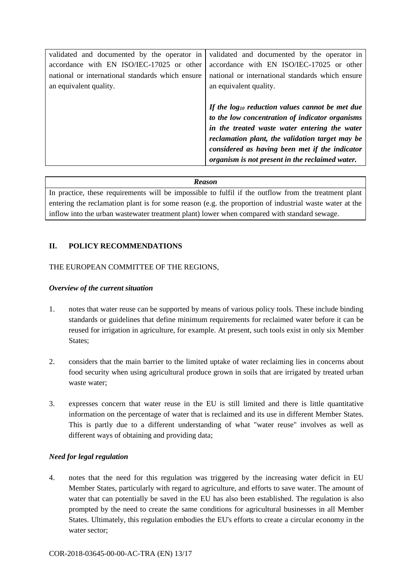| validated and documented by the operator in      | validated and documented by the operator in          |
|--------------------------------------------------|------------------------------------------------------|
| accordance with EN ISO/IEC-17025 or other        | accordance with EN ISO/IEC-17025 or other            |
| national or international standards which ensure | national or international standards which ensure     |
| an equivalent quality.                           | an equivalent quality.                               |
|                                                  |                                                      |
|                                                  | If the $log_{10}$ reduction values cannot be met due |
|                                                  | to the low concentration of indicator organisms      |
|                                                  | in the treated waste water entering the water        |
|                                                  | reclamation plant, the validation target may be      |
|                                                  | considered as having been met if the indicator       |
|                                                  | organism is not present in the reclaimed water.      |

In practice, these requirements will be impossible to fulfil if the outflow from the treatment plant entering the reclamation plant is for some reason (e.g. the proportion of industrial waste water at the inflow into the urban wastewater treatment plant) lower when compared with standard sewage.

#### **II. POLICY RECOMMENDATIONS**

#### THE EUROPEAN COMMITTEE OF THE REGIONS,

#### *Overview of the current situation*

- 1. notes that water reuse can be supported by means of various policy tools. These include binding standards or guidelines that define minimum requirements for reclaimed water before it can be reused for irrigation in agriculture, for example. At present, such tools exist in only six Member States;
- 2. considers that the main barrier to the limited uptake of water reclaiming lies in concerns about food security when using agricultural produce grown in soils that are irrigated by treated urban waste water;
- 3. expresses concern that water reuse in the EU is still limited and there is little quantitative information on the percentage of water that is reclaimed and its use in different Member States. This is partly due to a different understanding of what "water reuse" involves as well as different ways of obtaining and providing data;

#### *Need for legal regulation*

4. notes that the need for this regulation was triggered by the increasing water deficit in EU Member States, particularly with regard to agriculture, and efforts to save water. The amount of water that can potentially be saved in the EU has also been established. The regulation is also prompted by the need to create the same conditions for agricultural businesses in all Member States. Ultimately, this regulation embodies the EU's efforts to create a circular economy in the water sector;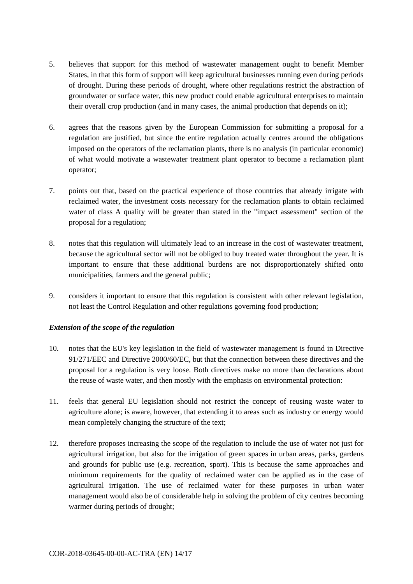- 5. believes that support for this method of wastewater management ought to benefit Member States, in that this form of support will keep agricultural businesses running even during periods of drought. During these periods of drought, where other regulations restrict the abstraction of groundwater or surface water, this new product could enable agricultural enterprises to maintain their overall crop production (and in many cases, the animal production that depends on it);
- 6. agrees that the reasons given by the European Commission for submitting a proposal for a regulation are justified, but since the entire regulation actually centres around the obligations imposed on the operators of the reclamation plants, there is no analysis (in particular economic) of what would motivate a wastewater treatment plant operator to become a reclamation plant operator;
- 7. points out that, based on the practical experience of those countries that already irrigate with reclaimed water, the investment costs necessary for the reclamation plants to obtain reclaimed water of class A quality will be greater than stated in the "impact assessment" section of the proposal for a regulation;
- 8. notes that this regulation will ultimately lead to an increase in the cost of wastewater treatment, because the agricultural sector will not be obliged to buy treated water throughout the year. It is important to ensure that these additional burdens are not disproportionately shifted onto municipalities, farmers and the general public;
- 9. considers it important to ensure that this regulation is consistent with other relevant legislation, not least the Control Regulation and other regulations governing food production;

#### *Extension of the scope of the regulation*

- 10. notes that the EU's key legislation in the field of wastewater management is found in Directive 91/271/EEC and Directive 2000/60/EC, but that the connection between these directives and the proposal for a regulation is very loose. Both directives make no more than declarations about the reuse of waste water, and then mostly with the emphasis on environmental protection:
- 11. feels that general EU legislation should not restrict the concept of reusing waste water to agriculture alone; is aware, however, that extending it to areas such as industry or energy would mean completely changing the structure of the text;
- 12. therefore proposes increasing the scope of the regulation to include the use of water not just for agricultural irrigation, but also for the irrigation of green spaces in urban areas, parks, gardens and grounds for public use (e.g. recreation, sport). This is because the same approaches and minimum requirements for the quality of reclaimed water can be applied as in the case of agricultural irrigation. The use of reclaimed water for these purposes in urban water management would also be of considerable help in solving the problem of city centres becoming warmer during periods of drought;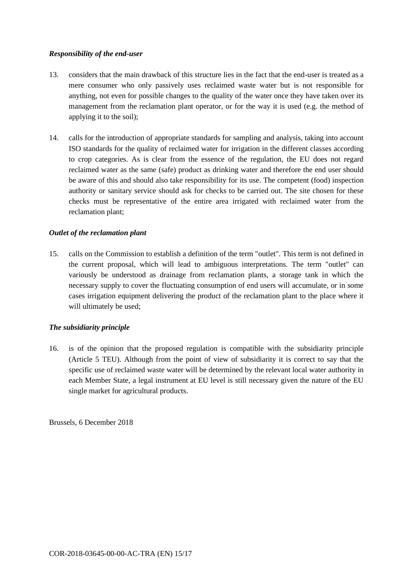#### *Responsibility of the end-user*

- 13. considers that the main drawback of this structure lies in the fact that the end-user is treated as a mere consumer who only passively uses reclaimed waste water but is not responsible for anything, not even for possible changes to the quality of the water once they have taken over its management from the reclamation plant operator, or for the way it is used (e.g. the method of applying it to the soil);
- 14. calls for the introduction of appropriate standards for sampling and analysis, taking into account ISO standards for the quality of reclaimed water for irrigation in the different classes according to crop categories. As is clear from the essence of the regulation, the EU does not regard reclaimed water as the same (safe) product as drinking water and therefore the end user should be aware of this and should also take responsibility for its use. The competent (food) inspection authority or sanitary service should ask for checks to be carried out. The site chosen for these checks must be representative of the entire area irrigated with reclaimed water from the reclamation plant;

#### *Outlet of the reclamation plant*

15. calls on the Commission to establish a definition of the term "outlet". This term is not defined in the current proposal, which will lead to ambiguous interpretations. The term "outlet" can variously be understood as drainage from reclamation plants, a storage tank in which the necessary supply to cover the fluctuating consumption of end users will accumulate, or in some cases irrigation equipment delivering the product of the reclamation plant to the place where it will ultimately be used;

#### *The subsidiarity principle*

16. is of the opinion that the proposed regulation is compatible with the subsidiarity principle (Article 5 TEU). Although from the point of view of subsidiarity it is correct to say that the specific use of reclaimed waste water will be determined by the relevant local water authority in each Member State, a legal instrument at EU level is still necessary given the nature of the EU single market for agricultural products.

Brussels, 6 December 2018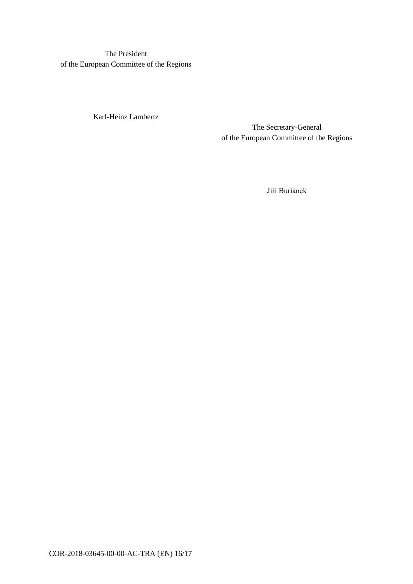The President of the European Committee of the Regions

Karl-Heinz Lambertz

The Secretary-General of the European Committee of the Regions

Jiří Buriánek